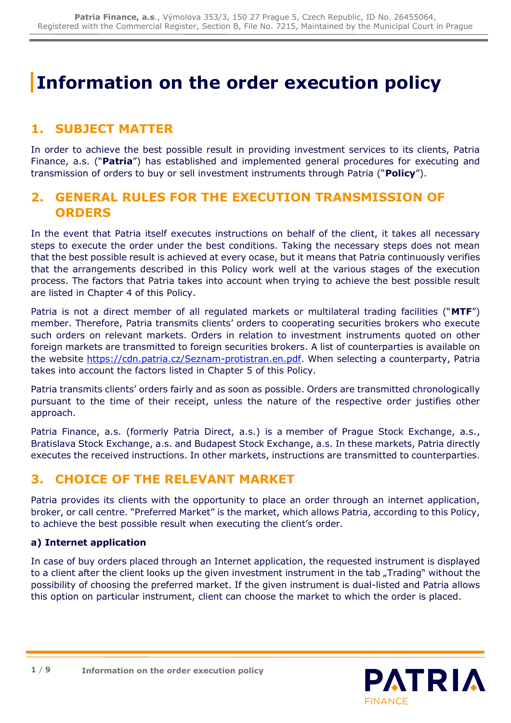# **Information on the order execution policy**

# **1. SUBJECT MATTER**

In order to achieve the best possible result in providing investment services to its clients, Patria Finance, a.s. ("**Patria**") has established and implemented general procedures for executing and transmission of orders to buy or sell investment instruments through Patria ("**Policy**").

# **2. GENERAL RULES FOR THE EXECUTION TRANSMISSION OF ORDERS**

In the event that Patria itself executes instructions on behalf of the client, it takes all necessary steps to execute the order under the best conditions. Taking the necessary steps does not mean that the best possible result is achieved at every ocase, but it means that Patria continuously verifies that the arrangements described in this Policy work well at the various stages of the execution process. The factors that Patria takes into account when trying to achieve the best possible result are listed in Chapter 4 of this Policy.

Patria is not a direct member of all regulated markets or multilateral trading facilities ("**MTF**") member. Therefore, Patria transmits clients' orders to cooperating securities brokers who execute such orders on relevant markets. Orders in relation to investment instruments quoted on other foreign markets are transmitted to foreign securities brokers. A list of counterparties is available on the website [https://cdn.patria.cz/Seznam-protistran.en.pdf.](https://cdn.patria.cz/Seznam-protistran.en.pdf) When selecting a counterparty, Patria takes into account the factors listed in Chapter 5 of this Policy.

Patria transmits clients' orders fairly and as soon as possible. Orders are transmitted chronologically pursuant to the time of their receipt, unless the nature of the respective order justifies other approach.

Patria Finance, a.s. (formerly Patria Direct, a.s.) is a member of Prague Stock Exchange, a.s., Bratislava Stock Exchange, a.s. and Budapest Stock Exchange, a.s. In these markets, Patria directly executes the received instructions. In other markets, instructions are transmitted to counterparties.

## **3. CHOICE OF THE RELEVANT MARKET**

Patria provides its clients with the opportunity to place an order through an internet application, broker, or call centre. "Preferred Market" is the market, which allows Patria, according to this Policy, to achieve the best possible result when executing the client's order.

#### **a) Internet application**

In case of buy orders placed through an Internet application, the requested instrument is displayed to a client after the client looks up the given investment instrument in the tab "Trading" without the possibility of choosing the preferred market. If the given instrument is dual-listed and Patria allows this option on particular instrument, client can choose the market to which the order is placed.

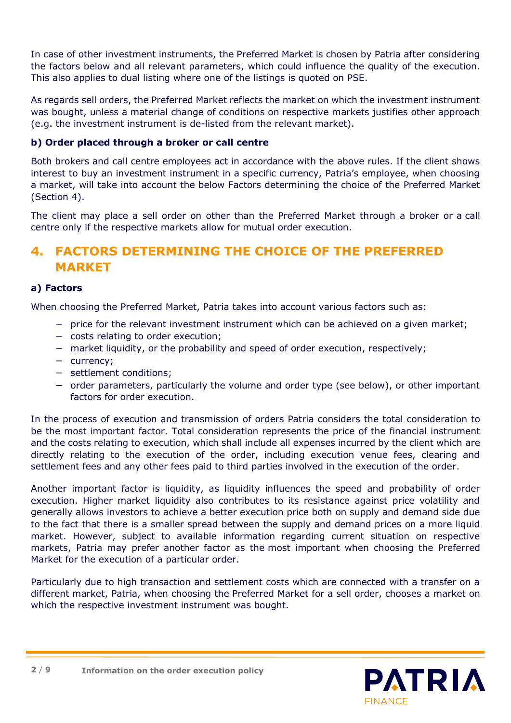In case of other investment instruments, the Preferred Market is chosen by Patria after considering the factors below and all relevant parameters, which could influence the quality of the execution. This also applies to dual listing where one of the listings is quoted on PSE.

As regards sell orders, the Preferred Market reflects the market on which the investment instrument was bought, unless a material change of conditions on respective markets justifies other approach (e.g. the investment instrument is de-listed from the relevant market).

#### **b) Order placed through a broker or call centre**

Both brokers and call centre employees act in accordance with the above rules. If the client shows interest to buy an investment instrument in a specific currency, Patria's employee, when choosing a market, will take into account the below Factors determining the choice of the Preferred Market (Section 4).

The client may place a sell order on other than the Preferred Market through a broker or a call centre only if the respective markets allow for mutual order execution.

# **4. FACTORS DETERMINING THE CHOICE OF THE PREFERRED MARKET**

#### **a) Factors**

When choosing the Preferred Market, Patria takes into account various factors such as:

- − price for the relevant investment instrument which can be achieved on a given market;
- − costs relating to order execution;
- − market liquidity, or the probability and speed of order execution, respectively;
- − currency;
- − settlement conditions;
- − order parameters, particularly the volume and order type (see below), or other important factors for order execution.

In the process of execution and transmission of orders Patria considers the total consideration to be the most important factor. Total consideration represents the price of the financial instrument and the costs relating to execution, which shall include all expenses incurred by the client which are directly relating to the execution of the order, including execution venue fees, clearing and settlement fees and any other fees paid to third parties involved in the execution of the order.

Another important factor is liquidity, as liquidity influences the speed and probability of order execution. Higher market liquidity also contributes to its resistance against price volatility and generally allows investors to achieve a better execution price both on supply and demand side due to the fact that there is a smaller spread between the supply and demand prices on a more liquid market. However, subject to available information regarding current situation on respective markets, Patria may prefer another factor as the most important when choosing the Preferred Market for the execution of a particular order.

Particularly due to high transaction and settlement costs which are connected with a transfer on a different market, Patria, when choosing the Preferred Market for a sell order, chooses a market on which the respective investment instrument was bought.

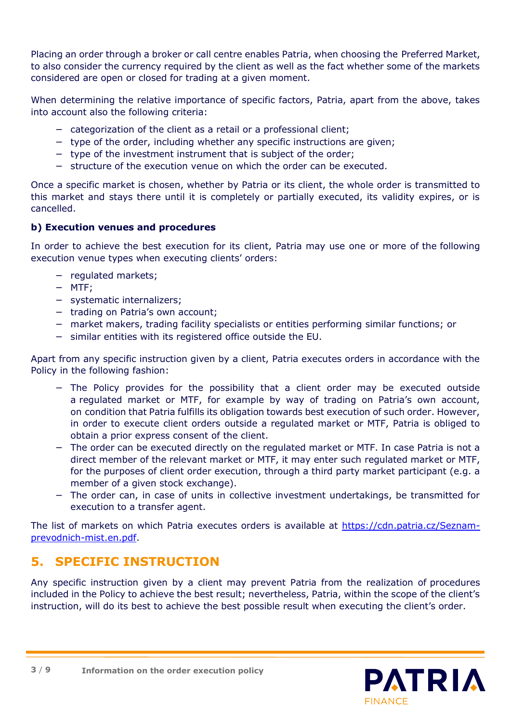Placing an order through a broker or call centre enables Patria, when choosing the Preferred Market, to also consider the currency required by the client as well as the fact whether some of the markets considered are open or closed for trading at a given moment.

When determining the relative importance of specific factors, Patria, apart from the above, takes into account also the following criteria:

- − categorization of the client as a retail or a professional client;
- − type of the order, including whether any specific instructions are given;
- − type of the investment instrument that is subject of the order;
- − structure of the execution venue on which the order can be executed.

Once a specific market is chosen, whether by Patria or its client, the whole order is transmitted to this market and stays there until it is completely or partially executed, its validity expires, or is cancelled.

#### **b) Execution venues and procedures**

In order to achieve the best execution for its client, Patria may use one or more of the following execution venue types when executing clients' orders:

- − regulated markets;
- − MTF;
- − systematic internalizers;
- − trading on Patria's own account;
- − market makers, trading facility specialists or entities performing similar functions; or
- − similar entities with its registered office outside the EU.

Apart from any specific instruction given by a client, Patria executes orders in accordance with the Policy in the following fashion:

- − The Policy provides for the possibility that a client order may be executed outside a regulated market or MTF, for example by way of trading on Patria's own account, on condition that Patria fulfills its obligation towards best execution of such order. However, in order to execute client orders outside a regulated market or MTF, Patria is obliged to obtain a prior express consent of the client.
- − The order can be executed directly on the regulated market or MTF. In case Patria is not a direct member of the relevant market or MTF, it may enter such regulated market or MTF, for the purposes of client order execution, through a third party market participant (e.g. a member of a given stock exchange).
- − The order can, in case of units in collective investment undertakings, be transmitted for execution to a transfer agent.

The list of markets on which Patria executes orders is available at [https://cdn.patria.cz/Seznam](https://cdn.patria.cz/Seznam-prevodnich-mist.en.pdf)[prevodnich-mist.en.pdf.](https://cdn.patria.cz/Seznam-prevodnich-mist.en.pdf)

# **5. SPECIFIC INSTRUCTION**

Any specific instruction given by a client may prevent Patria from the realization of procedures included in the Policy to achieve the best result; nevertheless, Patria, within the scope of the client's instruction, will do its best to achieve the best possible result when executing the client's order.

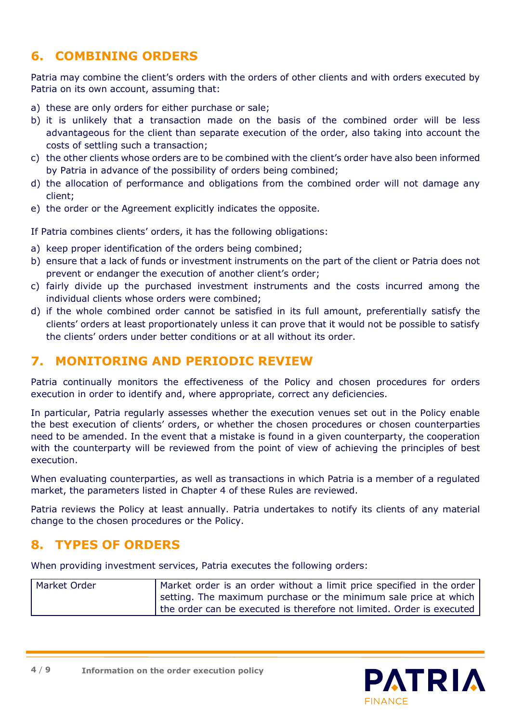# **6. COMBINING ORDERS**

Patria may combine the client's orders with the orders of other clients and with orders executed by Patria on its own account, assuming that:

- a) these are only orders for either purchase or sale;
- b) it is unlikely that a transaction made on the basis of the combined order will be less advantageous for the client than separate execution of the order, also taking into account the costs of settling such a transaction;
- c) the other clients whose orders are to be combined with the client's order have also been informed by Patria in advance of the possibility of orders being combined;
- d) the allocation of performance and obligations from the combined order will not damage any client;
- e) the order or the Agreement explicitly indicates the opposite.

If Patria combines clients' orders, it has the following obligations:

- a) keep proper identification of the orders being combined;
- b) ensure that a lack of funds or investment instruments on the part of the client or Patria does not prevent or endanger the execution of another client's order;
- c) fairly divide up the purchased investment instruments and the costs incurred among the individual clients whose orders were combined;
- d) if the whole combined order cannot be satisfied in its full amount, preferentially satisfy the clients' orders at least proportionately unless it can prove that it would not be possible to satisfy the clients' orders under better conditions or at all without its order.

### **7. MONITORING AND PERIODIC REVIEW**

Patria continually monitors the effectiveness of the Policy and chosen procedures for orders execution in order to identify and, where appropriate, correct any deficiencies.

In particular, Patria regularly assesses whether the execution venues set out in the Policy enable the best execution of clients' orders, or whether the chosen procedures or chosen counterparties need to be amended. In the event that a mistake is found in a given counterparty, the cooperation with the counterparty will be reviewed from the point of view of achieving the principles of best execution.

When evaluating counterparties, as well as transactions in which Patria is a member of a regulated market, the parameters listed in Chapter 4 of these Rules are reviewed.

Patria reviews the Policy at least annually. Patria undertakes to notify its clients of any material change to the chosen procedures or the Policy.

## **8. TYPES OF ORDERS**

When providing investment services, Patria executes the following orders:

| Market Order | Market order is an order without a limit price specified in the order |
|--------------|-----------------------------------------------------------------------|
|              | setting. The maximum purchase or the minimum sale price at which      |
|              | the order can be executed is therefore not limited. Order is executed |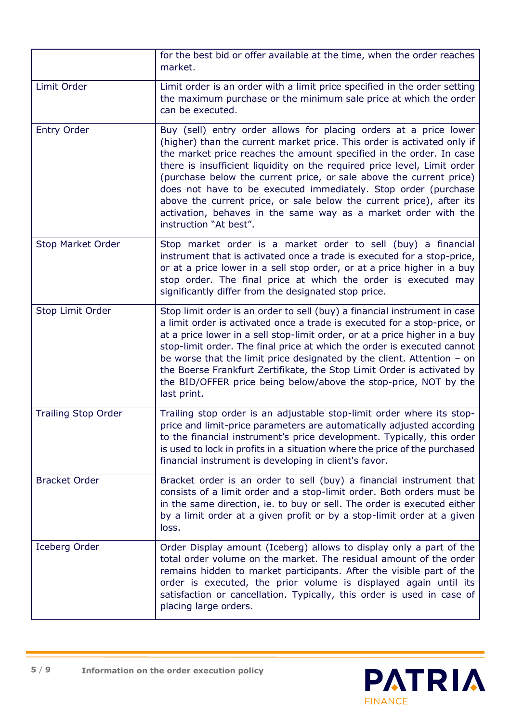|                            | for the best bid or offer available at the time, when the order reaches<br>market.                                                                                                                                                                                                                                                                                                                                                                                                                                                                                                                           |
|----------------------------|--------------------------------------------------------------------------------------------------------------------------------------------------------------------------------------------------------------------------------------------------------------------------------------------------------------------------------------------------------------------------------------------------------------------------------------------------------------------------------------------------------------------------------------------------------------------------------------------------------------|
| Limit Order                | Limit order is an order with a limit price specified in the order setting<br>the maximum purchase or the minimum sale price at which the order<br>can be executed.                                                                                                                                                                                                                                                                                                                                                                                                                                           |
| <b>Entry Order</b>         | Buy (sell) entry order allows for placing orders at a price lower<br>(higher) than the current market price. This order is activated only if<br>the market price reaches the amount specified in the order. In case<br>there is insufficient liquidity on the required price level, Limit order<br>(purchase below the current price, or sale above the current price)<br>does not have to be executed immediately. Stop order (purchase<br>above the current price, or sale below the current price), after its<br>activation, behaves in the same way as a market order with the<br>instruction "At best". |
| <b>Stop Market Order</b>   | Stop market order is a market order to sell (buy) a financial<br>instrument that is activated once a trade is executed for a stop-price,<br>or at a price lower in a sell stop order, or at a price higher in a buy<br>stop order. The final price at which the order is executed may<br>significantly differ from the designated stop price.                                                                                                                                                                                                                                                                |
| Stop Limit Order           | Stop limit order is an order to sell (buy) a financial instrument in case<br>a limit order is activated once a trade is executed for a stop-price, or<br>at a price lower in a sell stop-limit order, or at a price higher in a buy<br>stop-limit order. The final price at which the order is executed cannot<br>be worse that the limit price designated by the client. Attention $-$ on<br>the Boerse Frankfurt Zertifikate, the Stop Limit Order is activated by<br>the BID/OFFER price being below/above the stop-price, NOT by the<br>last print.                                                      |
| <b>Trailing Stop Order</b> | Trailing stop order is an adjustable stop-limit order where its stop-<br>price and limit-price parameters are automatically adjusted according<br>to the financial instrument's price development. Typically, this order<br>is used to lock in profits in a situation where the price of the purchased<br>financial instrument is developing in client's favor.                                                                                                                                                                                                                                              |
| <b>Bracket Order</b>       | Bracket order is an order to sell (buy) a financial instrument that<br>consists of a limit order and a stop-limit order. Both orders must be<br>in the same direction, ie. to buy or sell. The order is executed either<br>by a limit order at a given profit or by a stop-limit order at a given<br>loss.                                                                                                                                                                                                                                                                                                   |
| Iceberg Order              | Order Display amount (Iceberg) allows to display only a part of the<br>total order volume on the market. The residual amount of the order<br>remains hidden to market participants. After the visible part of the<br>order is executed, the prior volume is displayed again until its<br>satisfaction or cancellation. Typically, this order is used in case of<br>placing large orders.                                                                                                                                                                                                                     |

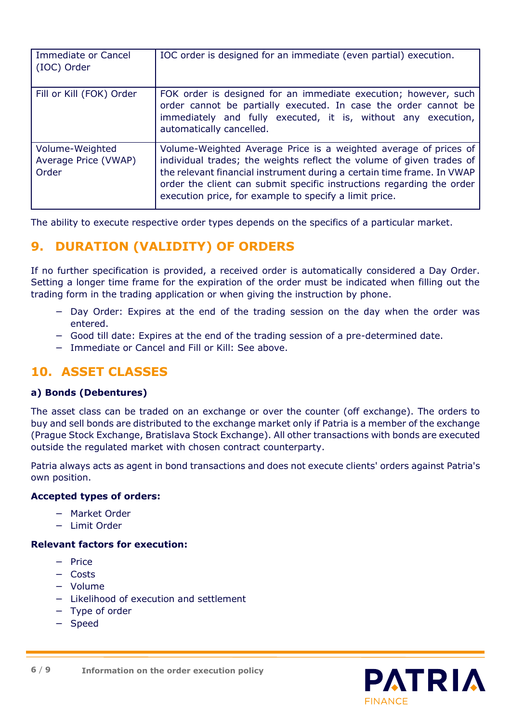| Immediate or Cancel<br>(IOC) Order               | IOC order is designed for an immediate (even partial) execution.                                                                                                                                                                                                                                                                                      |
|--------------------------------------------------|-------------------------------------------------------------------------------------------------------------------------------------------------------------------------------------------------------------------------------------------------------------------------------------------------------------------------------------------------------|
| Fill or Kill (FOK) Order                         | FOK order is designed for an immediate execution; however, such<br>order cannot be partially executed. In case the order cannot be<br>immediately and fully executed, it is, without any execution,<br>automatically cancelled.                                                                                                                       |
| Volume-Weighted<br>Average Price (VWAP)<br>Order | Volume-Weighted Average Price is a weighted average of prices of<br>individual trades; the weights reflect the volume of given trades of<br>the relevant financial instrument during a certain time frame. In VWAP<br>order the client can submit specific instructions regarding the order<br>execution price, for example to specify a limit price. |

The ability to execute respective order types depends on the specifics of a particular market.

# **9. DURATION (VALIDITY) OF ORDERS**

If no further specification is provided, a received order is automatically considered a Day Order. Setting a longer time frame for the expiration of the order must be indicated when filling out the trading form in the trading application or when giving the instruction by phone.

- − Day Order: Expires at the end of the trading session on the day when the order was entered.
- − Good till date: Expires at the end of the trading session of a pre-determined date.
- − Immediate or Cancel and Fill or Kill: See above.

## **10. ASSET CLASSES**

#### **a) Bonds (Debentures)**

The asset class can be traded on an exchange or over the counter (off exchange). The orders to buy and sell bonds are distributed to the exchange market only if Patria is a member of the exchange (Prague Stock Exchange, Bratislava Stock Exchange). All other transactions with bonds are executed outside the regulated market with chosen contract counterparty.

Patria always acts as agent in bond transactions and does not execute clients' orders against Patria's own position.

#### **Accepted types of orders:**

- − Market Order
- − Limit Order

#### **Relevant factors for execution:**

- − Price
- − Costs
- − Volume
- − Likelihood of execution and settlement
- − Type of order
- − Speed

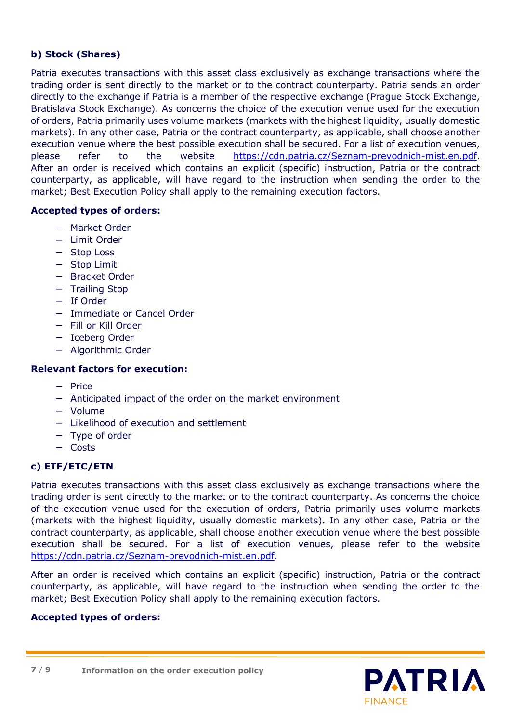#### **b) Stock (Shares)**

Patria executes transactions with this asset class exclusively as exchange transactions where the trading order is sent directly to the market or to the contract counterparty. Patria sends an order directly to the exchange if Patria is a member of the respective exchange (Prague Stock Exchange, Bratislava Stock Exchange). As concerns the choice of the execution venue used for the execution of orders, Patria primarily uses volume markets (markets with the highest liquidity, usually domestic markets). In any other case, Patria or the contract counterparty, as applicable, shall choose another execution venue where the best possible execution shall be secured. For a list of execution venues, please refer to the website [https://cdn.patria.cz/Seznam-prevodnich-mist.en.pdf.](https://cdn.patria.cz/Seznam-prevodnich-mist.en.pdf) After an order is received which contains an explicit (specific) instruction, Patria or the contract counterparty, as applicable, will have regard to the instruction when sending the order to the market; Best Execution Policy shall apply to the remaining execution factors.

#### **Accepted types of orders:**

- − Market Order
- − Limit Order
- − Stop Loss
- − Stop Limit
- − Bracket Order
- − Trailing Stop
- − If Order
- − Immediate or Cancel Order
- − Fill or Kill Order
- − Iceberg Order
- − Algorithmic Order

#### **Relevant factors for execution:**

- − Price
- − Anticipated impact of the order on the market environment
- − Volume
- − Likelihood of execution and settlement
- − Type of order
- − Costs

#### **c) ETF/ETC/ETN**

Patria executes transactions with this asset class exclusively as exchange transactions where the trading order is sent directly to the market or to the contract counterparty. As concerns the choice of the execution venue used for the execution of orders, Patria primarily uses volume markets (markets with the highest liquidity, usually domestic markets). In any other case, Patria or the contract counterparty, as applicable, shall choose another execution venue where the best possible execution shall be secured. For a list of execution venues, please refer to the website [https://cdn.patria.cz/Seznam-prevodnich-mist.en.pdf.](https://cdn.patria.cz/Seznam-prevodnich-mist.en.pdf)

After an order is received which contains an explicit (specific) instruction, Patria or the contract counterparty, as applicable, will have regard to the instruction when sending the order to the market; Best Execution Policy shall apply to the remaining execution factors.

#### **Accepted types of orders:**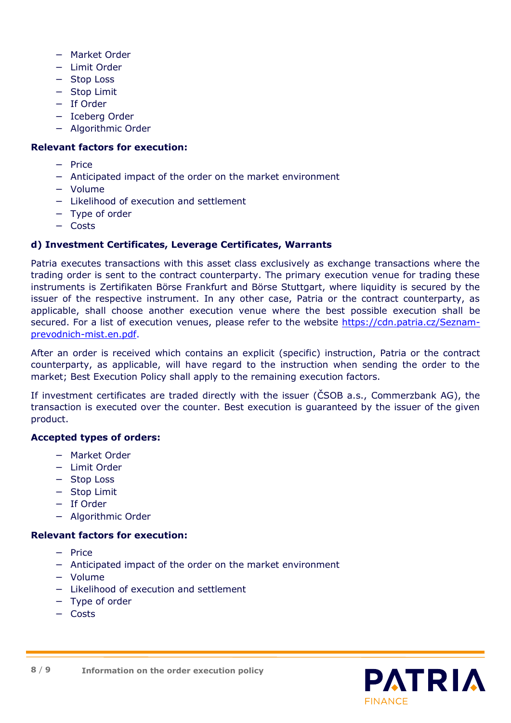- − Market Order
- − Limit Order
- − Stop Loss
- − Stop Limit
- − If Order
- − Iceberg Order
- − Algorithmic Order

#### **Relevant factors for execution:**

- − Price
- − Anticipated impact of the order on the market environment
- − Volume
- − Likelihood of execution and settlement
- − Type of order
- − Costs

#### **d) Investment Certificates, Leverage Certificates, Warrants**

Patria executes transactions with this asset class exclusively as exchange transactions where the trading order is sent to the contract counterparty. The primary execution venue for trading these instruments is Zertifikaten Börse Frankfurt and Börse Stuttgart, where liquidity is secured by the issuer of the respective instrument. In any other case, Patria or the contract counterparty, as applicable, shall choose another execution venue where the best possible execution shall be secured. For a list of execution venues, please refer to the website [https://cdn.patria.cz/Seznam](https://cdn.patria.cz/Seznam-prevodnich-mist.en.pdf)[prevodnich-mist.en.pdf.](https://cdn.patria.cz/Seznam-prevodnich-mist.en.pdf)

After an order is received which contains an explicit (specific) instruction, Patria or the contract counterparty, as applicable, will have regard to the instruction when sending the order to the market; Best Execution Policy shall apply to the remaining execution factors.

If investment certificates are traded directly with the issuer (ČSOB a.s., Commerzbank AG), the transaction is executed over the counter. Best execution is guaranteed by the issuer of the given product.

#### **Accepted types of orders:**

- − Market Order
- − Limit Order
- − Stop Loss
- − Stop Limit
- − If Order
- − Algorithmic Order

#### **Relevant factors for execution:**

- − Price
- − Anticipated impact of the order on the market environment
- − Volume
- − Likelihood of execution and settlement
- − Type of order
- − Costs